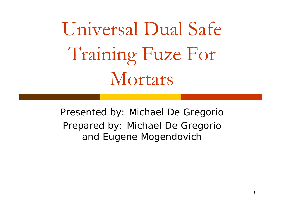Universal Dual Safe Training Fuze For Mortars

Presented by: Michael De Gregorio Prepared by: Michael De Gregorio and Eugene Mogendovich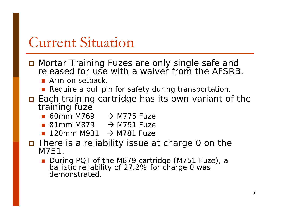#### Current Situation

**n** Mortar Training Fuzes are only single safe and released for use with a waiver from the AFSRB.

- **Arm on setback.**
- **Require a pull pin for safety during transportation.**
- $\blacksquare$  Each training cartridge has its own variant of the training fuze.
	- $\blacksquare$  60mm M769  $\rightarrow$  M775 Fuze
	- $\blacksquare$  81mm M879  $\rightarrow$  M751 Fuze
	- $\blacksquare$  120mm M931  $\rightarrow$  M781 Fuze
- There is a reliability issue at charge 0 on the M751.
	- During PQT of the M879 cartridge (M751 Fuze), a ballistic reliability of 27.2% for charge 0 was demonstrated.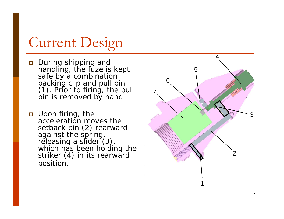## Current Design

- **D** During shipping and handling, the fuze is kept safe by a combination packing clip and pull pin<br>(1). Prior to firing, the pull pin is removed by hand.
- Upon firing, the acceleration moves the setback pin (2) rearward against the spring,<br>releasing a slider (3), which has been holding the<br>striker (4) in its rearward position.

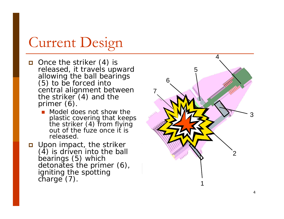## Current Design

- □ Once the striker (4) is released, it travels upward allowing the ball bearings (5) to be forced into central alignment between<br>the striker (4) and the primer (6).
	- П Model does not show the plastic covering that keeps<br>the striker (4) from flying out of the fuze once it is released.

Upon impact, the striker  $(4)$  is driven into the ball bearings (5) which detonates the primer  $(6)$ , igniting the spotting charge (7).

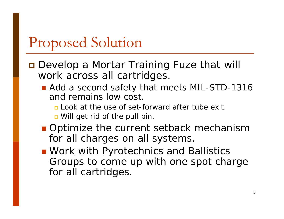#### Proposed Solution

- **O** Develop a Mortar Training Fuze that will work across all cartridges.
	- Add a second safety that meets MIL-STD-1316 and remains low cost.
		- **<u>n</u>** Look at the use of set-forward after tube exit.
		- Will get rid of the pull pin.
	- Optimize the current setback mechanism for all charges on all systems.
	- Work with Pyrotechnics and Ballistics Groups to come up with one spot charge for all cartridges.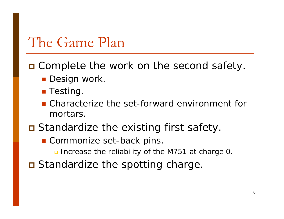#### The Game Plan

**O** Complete the work on the second safety.

- **Design work.**
- **Testing.**
- **E** Characterize the set-forward environment for mortars.
- Standardize the existing first safety.
	- Commonize set-back pins.

n Increase the reliability of the M751 at charge 0.

**O** Standardize the spotting charge.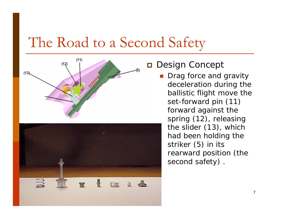



□ Design Concept

 Drag force and gravity deceleration during the ballistic flight move the set-forward pin (11) forward against the spring (12), releasing the slider (13), which had been holding the striker (5) in its rearward position (the second safety) .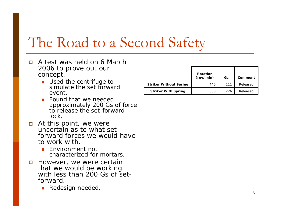- $\Box$  A test was held on 6 March 2006 to prove out our concept.
	- **Used the centrifuge to** simulate the set forward event.
	- F Found that we needed approximately 200 Gs of force to release the set-forward lock.
- a At this point, we were uncertain as to what setforward forces we would have to work with.
	- F Environment not characterized for mortars.
- **However, we were certain** that we would be working with less than 200 Gs of setforward.
	- F Redesign needed.

|                               | <b>Rotation</b><br>(rev/min) | Gs  | Comment  |
|-------------------------------|------------------------------|-----|----------|
| <b>Striker Without Spring</b> | 446                          | 111 | Released |
| <b>Striker With Spring</b>    | 638                          | 226 | Released |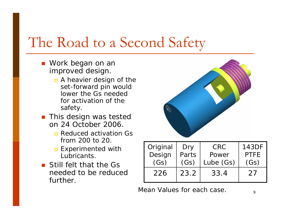- Work began on an improved design.
	- **n** A heavier design of the set-forward pin would lower the Gs needed for activation of the safety.
- $\blacksquare$  This design was tested on 24 October 2006.
	- **<u>n</u>** Reduced activation Gs from 200 to 20.
	- **Experimented with** Lubricants.
- **Still felt that the Gs** needed to be reduced further.



| Original | Dry   | <b>CRC</b> | 143DF       |
|----------|-------|------------|-------------|
| Design   | Parts | Power      | <b>PTFF</b> |
| (Gs)     | (Gs)  | Lube (Gs)  | (Gs)        |
| 226      | 23.2  | 33.4       | 27          |

Mean Values for each case.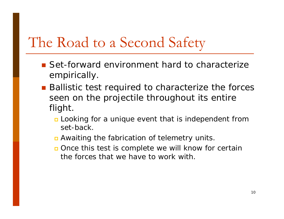- Set-forward environment hard to characterize empirically.
- Ballistic test required to characterize the forces seen on the projectile throughout its entire flight.
	- **<u>n</u>** Looking for a unique event that is independent from set-back.
	- n Awaiting the fabrication of telemetry units.
	- **n** Once this test is complete we will know for certain the forces that we have to work with.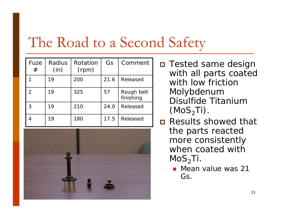| Fuze<br>#     | Radius<br>(in) | Rotation<br>(rpm) | Gs   | Comment                 |
|---------------|----------------|-------------------|------|-------------------------|
|               | 19             | 200               | 21.6 | Released                |
| $\mathcal{D}$ | 19             | 325               | 57   | Rough belt<br>finishing |
|               | 19             | 210               | 24.0 | Released                |
|               | 19             | 180               | 17.5 | Released                |



**□** Tested same design with all parts coated with low friction Molybdenum Disulfide Titanium  $(\mathsf{MoS}_2\mathsf{Ti})$  .

- **n** Results showed that the parts reacted more consistently when coated with  $\mathsf{MoS}_2\mathsf{Ti}.$ 
	- Mean value was 21 Gs.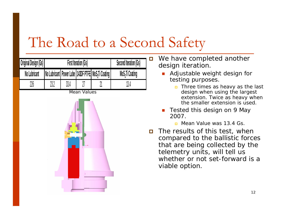

 $\Box$  We have completed another design iteration.

- П Adjustable weight design for testing purposes.
	- $\Box$  Three times as heavy as the last design when using the largest extension. Twice as heavy when the smaller extension is used.
- П Tested this design on 9 May 2007.
	- $\blacksquare$ Mean Value was 13.4 Gs.
- $\Box$  The results of this test, when compared to the ballistic forces that are being collected by the telemetry units, will tell us whether or not set-forward is a viable option.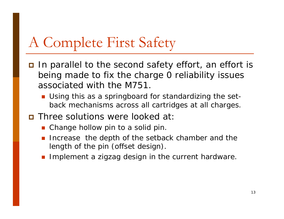- In parallel to the second safety effort, an effort is being made to fix the charge 0 reliability issues associated with the M751.
	- Using this as a springboard for standardizing the setback mechanisms across all cartridges at all charges.
- Three solutions were looked at:
	- Change hollow pin to a solid pin.
	- **Increase the depth of the setback chamber and the** length of the pin (offset design).
	- **Implement a zigzag design in the current hardware.**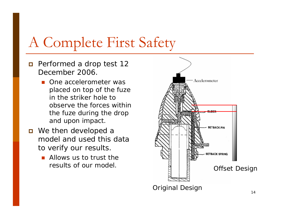- **n** Performed a drop test 12 December 2006.
	- П One accelerometer was placed on top of the fuze in the striker hole to observe the forces within the fuze during the drop and upon impact.
- We then developed a model and used this data to verify our results.
	- **Allows us to trust the** results of our model.

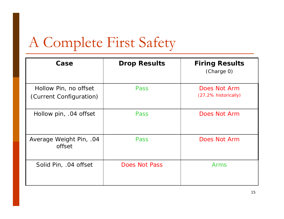| Case                                             | <b>Drop Results</b> | <b>Firing Results</b><br>(Charge 0)  |
|--------------------------------------------------|---------------------|--------------------------------------|
| Hollow Pin, no offset<br>(Current Configuration) | Pass                | Does Not Arm<br>(27.2% historically) |
| Hollow pin, .04 offset                           | Pass                | Does Not Arm                         |
| Average Weight Pin, .04<br>offset                | Pass                | Does Not Arm                         |
| Solid Pin, .04 offset                            | Does Not Pass       | Arms                                 |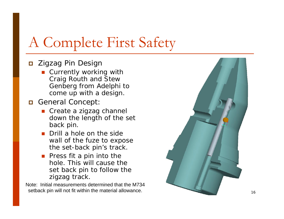#### Zigzag Pin Design

- **Currently working with** Craig Routh and Stew Genberg from Adelphi to come up with a design.
- General Concept:
	- Create a zigzag channel down the length of the set back pin.
	- **Drill a hole on the side** wall of the fuze to expose the set-back pin's track.
	- **Press fit a pin into the** hole. This will cause the set back pin to follow the zigzag track.

Note: Initial measurements determined that the M734 setback pin will not fit within the material allowance.

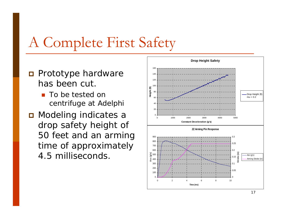- **D** Prototype hardware has been cut.
	- To be tested on centrifuge at Adelphi
- **n** Modeling indicates a drop safety height of 50 feet and an arming time of approximately 4.5 milliseconds.

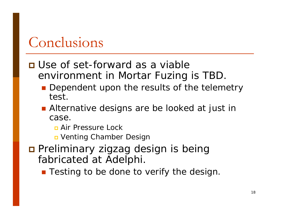#### Conclusions

#### Use of set-forward as a viable environment in Mortar Fuzing is TBD.

- **Dependent upon the results of the telemetry** test.
- **Alternative designs are be looked at just in** case.
	- **n** Air Pressure Lock
	- n Venting Chamber Desigr
- Preliminary zigzag design is being fabricated at Adelphi.
	- **Testing to be done to verify the design.**